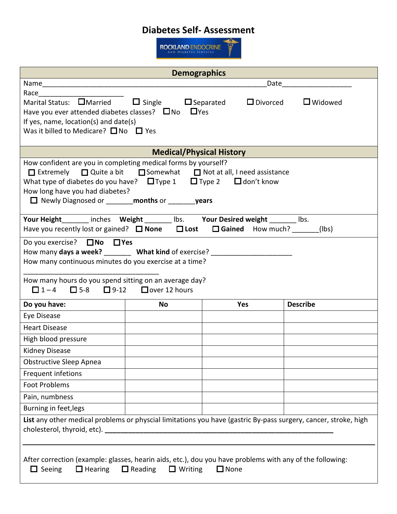## **Diabetes Self- Assessment**

Œ

**ROCKLAND ENDOCRINE** 

| <b>Demographics</b>                                                                                                                                                                                                                                                                                                                         |           |            |                                |  |
|---------------------------------------------------------------------------------------------------------------------------------------------------------------------------------------------------------------------------------------------------------------------------------------------------------------------------------------------|-----------|------------|--------------------------------|--|
|                                                                                                                                                                                                                                                                                                                                             |           | Date       |                                |  |
| Race<br>Marital Status: $\Box$ Married $\Box$ Single $\Box$ Separated<br>Have you ever attended diabetes classes? $\square$ No $\square$ Yes<br>If yes, name, $location(s)$ and date $(s)$<br>Was it billed to Medicare? $\square$ No $\square$ Yes                                                                                         |           |            | $\Box$ Divorced $\Box$ Widowed |  |
| <b>Medical/Physical History</b>                                                                                                                                                                                                                                                                                                             |           |            |                                |  |
| How confident are you in completing medical forms by yourself?<br>$\Box$ Extremely $\Box$ Quite a bit $\Box$ Somewhat $\Box$ Not at all, I need assistance<br>What type of diabetes do you have? $\Box$ Type 1 $\Box$ Type 2 $\Box$ don't know<br>How long have you had diabetes?<br>□ Newly Diagnosed or ________ months or ________ years |           |            |                                |  |
| Your Height_______ inches Weight _______ lbs. Your Desired weight _______ lbs.<br>Have you recently lost or gained? $\Box$ None $\Box$ Lost<br>□ Gained How much? (Ibs)                                                                                                                                                                     |           |            |                                |  |
| Do you exercise? □No □ Yes<br>How many days a week? _________ What kind of exercise? _________________________<br>How many continuous minutes do you exercise at a time?                                                                                                                                                                    |           |            |                                |  |
| How many hours do you spend sitting on an average day?<br>$\Box$ 1-4 $\Box$ 5-8 $\Box$ 9-12 $\Box$ over 12 hours                                                                                                                                                                                                                            |           |            |                                |  |
| Do you have:                                                                                                                                                                                                                                                                                                                                | <b>No</b> | <b>Yes</b> | <b>Describe</b>                |  |
| Eye Disease                                                                                                                                                                                                                                                                                                                                 |           |            |                                |  |
| <b>Heart Disease</b>                                                                                                                                                                                                                                                                                                                        |           |            |                                |  |
| High blood pressure                                                                                                                                                                                                                                                                                                                         |           |            |                                |  |
| <b>Kidney Disease</b>                                                                                                                                                                                                                                                                                                                       |           |            |                                |  |
| <b>Obstructive Sleep Apnea</b>                                                                                                                                                                                                                                                                                                              |           |            |                                |  |
| Frequent infetions                                                                                                                                                                                                                                                                                                                          |           |            |                                |  |
| <b>Foot Problems</b>                                                                                                                                                                                                                                                                                                                        |           |            |                                |  |
| Pain, numbness                                                                                                                                                                                                                                                                                                                              |           |            |                                |  |
| Burning in feet, legs                                                                                                                                                                                                                                                                                                                       |           |            |                                |  |
| List any other medical problems or physcial limitations you have (gastric By-pass surgery, cancer, stroke, high                                                                                                                                                                                                                             |           |            |                                |  |
| After correction (example: glasses, hearin aids, etc.), dou you have problems with any of the following:<br>$\Box$ Seeing<br>$\Box$ Hearing<br>$\Box$ Reading<br>$\Box$ Writing<br>$\Box$ None                                                                                                                                              |           |            |                                |  |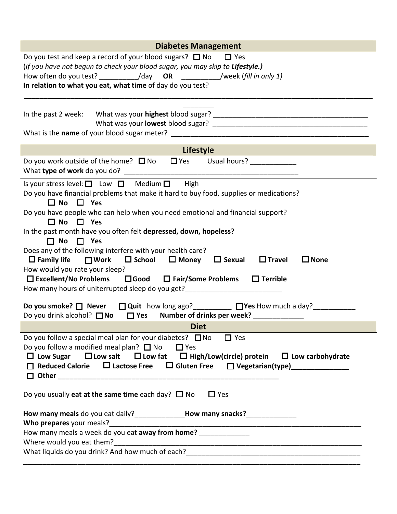| <b>Diabetes Management</b>                                                                                                                                                                                                                                                                                                                                                                                                                                                                                                                                                                                                                                                                                                                                                      |  |  |  |  |
|---------------------------------------------------------------------------------------------------------------------------------------------------------------------------------------------------------------------------------------------------------------------------------------------------------------------------------------------------------------------------------------------------------------------------------------------------------------------------------------------------------------------------------------------------------------------------------------------------------------------------------------------------------------------------------------------------------------------------------------------------------------------------------|--|--|--|--|
| Do you test and keep a record of your blood sugars? $\Box$ No<br>$\Box$ Yes<br>(If you have not begun to check your blood sugar, you may skip to Lifestyle.)<br>How often do you test? _______________/day OR _______________/week (fill in only 1)<br>In relation to what you eat, what time of day do you test?                                                                                                                                                                                                                                                                                                                                                                                                                                                               |  |  |  |  |
|                                                                                                                                                                                                                                                                                                                                                                                                                                                                                                                                                                                                                                                                                                                                                                                 |  |  |  |  |
| Lifestyle                                                                                                                                                                                                                                                                                                                                                                                                                                                                                                                                                                                                                                                                                                                                                                       |  |  |  |  |
| Do you work outside of the home? $\Box$ No $\Box$ Yes Usual hours? ___________                                                                                                                                                                                                                                                                                                                                                                                                                                                                                                                                                                                                                                                                                                  |  |  |  |  |
| Is your stress level: $\Box$ Low $\Box$ Medium $\Box$ High<br>Do you have financial problems that make it hard to buy food, supplies or medications?<br>$\Box$ No $\Box$ Yes<br>Do you have people who can help when you need emotional and financial support?<br>$\Box$ No $\Box$ Yes<br>In the past month have you often felt depressed, down, hopeless?<br>$\Box$ No $\Box$ Yes<br>Does any of the following interfere with your health care?<br>$\Box$ Family life $\Box$ Work $\Box$ School $\Box$ Money $\Box$ Sexual<br>$\square$ Travel<br>$\square$ None<br>How would you rate your sleep?<br>$\Box$ Excellent/No Problems $\Box$ Good $\Box$ Fair/Some Problems<br>$\Box$ Terrible<br>Do you smoke? $\Box$ Never $\Box$ Quit how long ago? $\Box$ Yes How much a day? |  |  |  |  |
| Do you drink alcohol? $\Box$ No $\Box$ Yes<br>Number of drinks per week?                                                                                                                                                                                                                                                                                                                                                                                                                                                                                                                                                                                                                                                                                                        |  |  |  |  |
| <b>Diet</b><br>Do you follow a special meal plan for your diabetes? $\square$ No<br>$\Box$ Yes<br>Do you follow a modified meal plan? $\Box$ No $\Box$ Yes<br>$\Box$ Low Sugar $\Box$ Low salt $\Box$ Low fat $\Box$ High/Low(circle) protein $\Box$ Low carbohydrate<br>$\Box$ Reduced Calorie $\Box$ Lactose Free $\Box$ Gluten Free $\Box$ Vegetarian(type) _____________                                                                                                                                                                                                                                                                                                                                                                                                    |  |  |  |  |
| Do you usually eat at the same time each day? $\Box$ No<br>$\Box$ Yes<br>How many meals do you eat daily?_________________How many snacks?_______________                                                                                                                                                                                                                                                                                                                                                                                                                                                                                                                                                                                                                       |  |  |  |  |
| How many meals a week do you eat away from home? ______________                                                                                                                                                                                                                                                                                                                                                                                                                                                                                                                                                                                                                                                                                                                 |  |  |  |  |